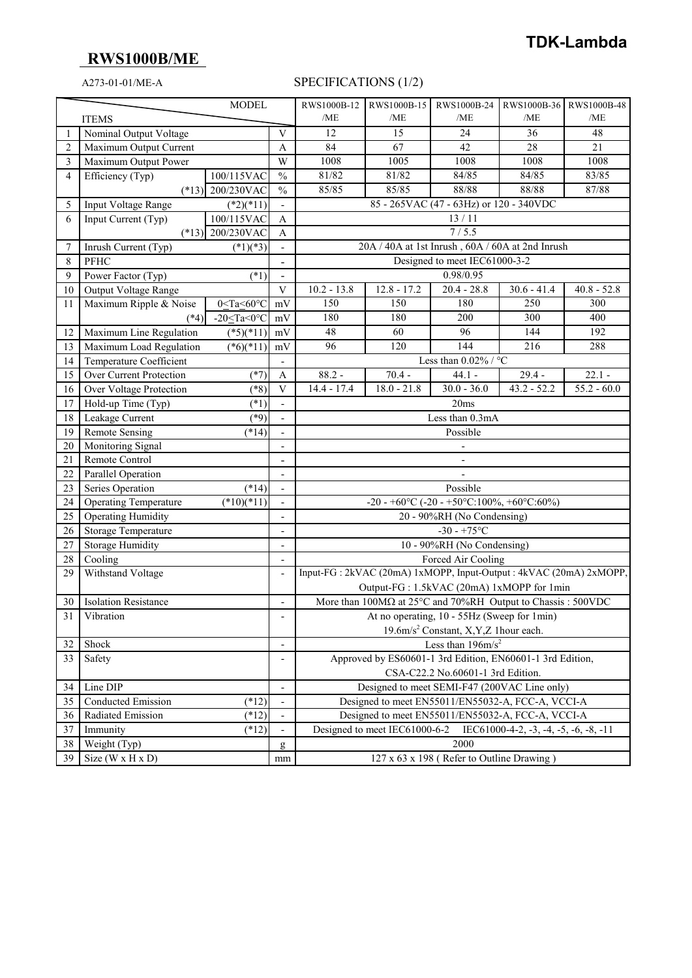# **RWS1000B/ME**

### A273-01-01/ME-A SPECIFICATIONS (1/2)

| <b>MODEL</b> |                                              |                             | RWS1000B-12                  | RWS1000B-15                                                       | RWS1000B-24   | RWS1000B-36 RWS1000B-48                                             |               |                          |
|--------------|----------------------------------------------|-----------------------------|------------------------------|-------------------------------------------------------------------|---------------|---------------------------------------------------------------------|---------------|--------------------------|
| <b>ITEMS</b> |                                              |                             |                              | /ME                                                               | /ME           | /ME                                                                 | /ME           | /ME                      |
|              | Nominal Output Voltage                       |                             |                              | 12                                                                | 15            | 24                                                                  | 36            | 48                       |
| 2            | Maximum Output Current                       |                             |                              | 84                                                                | 67            | 42                                                                  | 28            | 21                       |
| 3            | Maximum Output Power                         |                             | W                            | 1008                                                              | 1005          | 1008                                                                | 1008          | 1008                     |
| 4            | Efficiency (Typ)                             | 100/115VAC                  | $\frac{0}{0}$                | 81/82                                                             | 81/82         | 84/85                                                               | 84/85         | 83/85                    |
|              |                                              | $(*13)$ 200/230VAC          | $\frac{0}{0}$                | 85/85                                                             | 85/85         | 88/88                                                               | 88/88         | 87/88                    |
| 5            | Input Voltage Range                          | $(*2)(*11)$                 |                              |                                                                   |               | 85 - 265VAC (47 - 63Hz) or 120 - 340VDC                             |               |                          |
| 6            | Input Current (Typ)<br>100/115VAC            |                             |                              | 13/11<br>A                                                        |               |                                                                     |               |                          |
|              | 200/230VAC<br>$(*13)$                        |                             | Α                            | 7/5.5                                                             |               |                                                                     |               |                          |
| 7            | $(*1)(*3)$<br>Inrush Current (Typ)           |                             |                              | 20A / 40A at 1st Inrush, 60A / 60A at 2nd Inrush                  |               |                                                                     |               |                          |
| 8            | PFHC                                         |                             |                              | Designed to meet IEC61000-3-2                                     |               |                                                                     |               |                          |
| 9            | Power Factor (Typ)<br>$(*1)$                 |                             | $\qquad \qquad \blacksquare$ | 0.98/0.95                                                         |               |                                                                     |               |                          |
| 10           | Output Voltage Range                         |                             | V                            | $10.2 - 13.8$                                                     | $12.8 - 17.2$ | $20.4 - 28.8$                                                       | $30.6 - 41.4$ | $40.8 - 52.8$            |
| 11           | Maximum Ripple & Noise                       | 0≤Ta≤60°C                   | mV                           | 150                                                               | 150           | 180                                                                 | 250           | 300                      |
|              | $(*4)$                                       | -20 $\leq$ Ta<0 $\degree$ C | mV                           | 180                                                               | 180           | 200                                                                 | 300           | 400                      |
| 12           | Maximum Line Regulation                      | $(*5)(*11)$                 | $\rm mV$                     | 48                                                                | 60            | 96                                                                  | 144           | 192                      |
| 13           | Maximum Load Regulation                      | $(*6)(*11)$                 | $\rm mV$                     | 96                                                                | 120           | 144                                                                 | 216           | 288                      |
| 14           | Temperature Coefficient                      |                             | $\overline{a}$               | Less than $0.02\%$ / °C                                           |               |                                                                     |               |                          |
| 15           | Over Current Protection                      | $(*7)$                      | A                            | $88.2 -$                                                          | $70.4 -$      | $44.1 -$                                                            | $29.4 -$      | $22.1 -$                 |
| 16           | Over Voltage Protection                      | $(*8)$                      | $\mathbf V$                  | $14.4 - 17.4$                                                     | $18.0 - 21.8$ | $30.0 - 36.0$                                                       | $43.2 - 52.2$ | $\overline{55.2} - 60.0$ |
| 17           | Hold-up Time (Typ)<br>$(*1)$                 |                             |                              | 20ms                                                              |               |                                                                     |               |                          |
| 18           | Leakage Current<br>$(*9)$<br>Less than 0.3mA |                             |                              |                                                                   |               |                                                                     |               |                          |
| 19           | <b>Remote Sensing</b>                        | $(*14)$                     |                              | Possible                                                          |               |                                                                     |               |                          |
| 20           | Monitoring Signal                            |                             |                              | $\frac{1}{2}$                                                     |               |                                                                     |               |                          |
| 21           | Remote Control                               |                             |                              |                                                                   |               |                                                                     |               |                          |
| 22           | Parallel Operation                           |                             |                              |                                                                   |               |                                                                     |               |                          |
| 23           | Series Operation<br>$(*14)$                  |                             | $\frac{1}{2}$                | Possible                                                          |               |                                                                     |               |                          |
| 24           | <b>Operating Temperature</b><br>$(*10)(*11)$ |                             |                              | $-20 - +60$ °C (-20 - +50°C:100%, +60°C:60%)                      |               |                                                                     |               |                          |
| 25           | <b>Operating Humidity</b>                    |                             |                              | 20 - 90%RH (No Condensing)                                        |               |                                                                     |               |                          |
| 26           | Storage Temperature                          |                             |                              | $-30 - +75$ °C                                                    |               |                                                                     |               |                          |
| 27           | <b>Storage Humidity</b>                      |                             | $\overline{a}$               | 10 - 90%RH (No Condensing)                                        |               |                                                                     |               |                          |
| 28           | Cooling                                      |                             | $\overline{a}$               | Forced Air Cooling                                                |               |                                                                     |               |                          |
| 29           | Withstand Voltage                            |                             | $\overline{a}$               | Input-FG: 2kVAC (20mA) 1xMOPP, Input-Output: 4kVAC (20mA) 2xMOPP, |               |                                                                     |               |                          |
|              |                                              |                             |                              | Output-FG: 1.5kVAC (20mA) 1xMOPP for 1min                         |               |                                                                     |               |                          |
| 30           | <b>Isolation Resistance</b>                  |                             |                              | More than 100MΩ at 25°C and 70%RH Output to Chassis: 500VDC       |               |                                                                     |               |                          |
| 31           | Vibration                                    |                             | $\overline{\phantom{a}}$     | At no operating, 10 - 55Hz (Sweep for 1min)                       |               |                                                                     |               |                          |
|              |                                              |                             |                              |                                                                   |               | 19.6m/s <sup>2</sup> Constant, X,Y,Z 1hour each.                    |               |                          |
| 32           | Shock<br>$\overline{a}$                      |                             |                              | Less than $196 \text{m/s}^2$                                      |               |                                                                     |               |                          |
| 33           | Safety                                       |                             |                              | Approved by ES60601-1 3rd Edition, EN60601-1 3rd Edition,         |               |                                                                     |               |                          |
|              |                                              |                             |                              | CSA-C22.2 No.60601-1 3rd Edition.                                 |               |                                                                     |               |                          |
| 34           | Line DIP<br>$\qquad \qquad \blacksquare$     |                             |                              |                                                                   |               | Designed to meet SEMI-F47 (200VAC Line only)                        |               |                          |
| 35           | Conducted Emission                           | $(*12)$                     | $\qquad \qquad -$            | Designed to meet EN55011/EN55032-A, FCC-A, VCCI-A                 |               |                                                                     |               |                          |
| 36           | Radiated Emission<br>$(*12)$                 |                             |                              | Designed to meet EN55011/EN55032-A, FCC-A, VCCI-A                 |               |                                                                     |               |                          |
|              |                                              |                             | $\overline{a}$               |                                                                   |               |                                                                     |               |                          |
| 37           | Immunity                                     | $(*12)$                     | $\qquad \qquad \blacksquare$ |                                                                   |               | Designed to meet IEC61000-6-2 IEC61000-4-2, -3, -4, -5, -6, -8, -11 |               |                          |
| 38           | Weight $(Typ)$                               |                             | $\mathbf{g}$                 |                                                                   |               | 2000                                                                |               |                          |